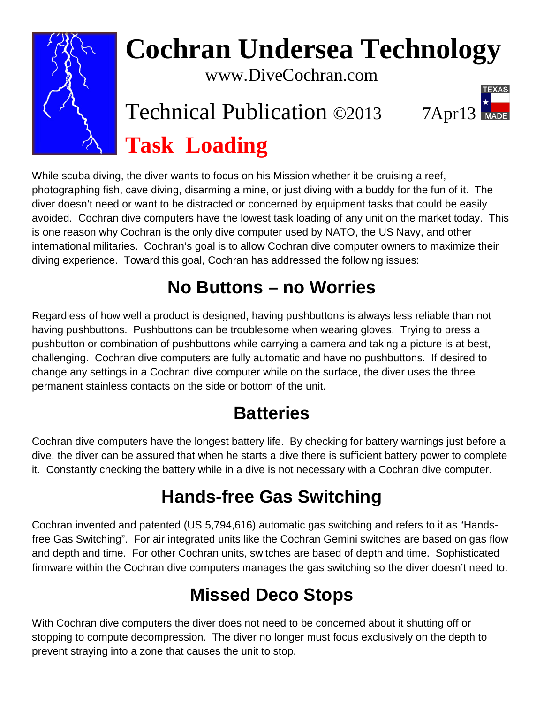

# **Cochran Undersea Technology**

www.DiveCochran.com

# Technical Publication ©2013 7Apr13 **Task Loading**

While scuba diving, the diver wants to focus on his Mission whether it be cruising a reef, photographing fish, cave diving, disarming a mine, or just diving with a buddy for the fun of it. The diver doesn't need or want to be distracted or concerned by equipment tasks that could be easily avoided. Cochran dive computers have the lowest task loading of any unit on the market today. This is one reason why Cochran is the only dive computer used by NATO, the US Navy, and other international militaries. Cochran's goal is to allow Cochran dive computer owners to maximize their diving experience. Toward this goal, Cochran has addressed the following issues:

## **No Buttons – no Worries**

Regardless of how well a product is designed, having pushbuttons is always less reliable than not having pushbuttons. Pushbuttons can be troublesome when wearing gloves. Trying to press a pushbutton or combination of pushbuttons while carrying a camera and taking a picture is at best, challenging. Cochran dive computers are fully automatic and have no pushbuttons. If desired to change any settings in a Cochran dive computer while on the surface, the diver uses the three permanent stainless contacts on the side or bottom of the unit.

# **Batteries**

Cochran dive computers have the longest battery life. By checking for battery warnings just before a dive, the diver can be assured that when he starts a dive there is sufficient battery power to complete it. Constantly checking the battery while in a dive is not necessary with a Cochran dive computer.

### **Hands-free Gas Switching**

Cochran invented and patented (US 5,794,616) automatic gas switching and refers to it as "Handsfree Gas Switching". For air integrated units like the Cochran Gemini switches are based on gas flow and depth and time. For other Cochran units, switches are based of depth and time. Sophisticated firmware within the Cochran dive computers manages the gas switching so the diver doesn't need to.

### **Missed Deco Stops**

With Cochran dive computers the diver does not need to be concerned about it shutting off or stopping to compute decompression. The diver no longer must focus exclusively on the depth to prevent straying into a zone that causes the unit to stop.